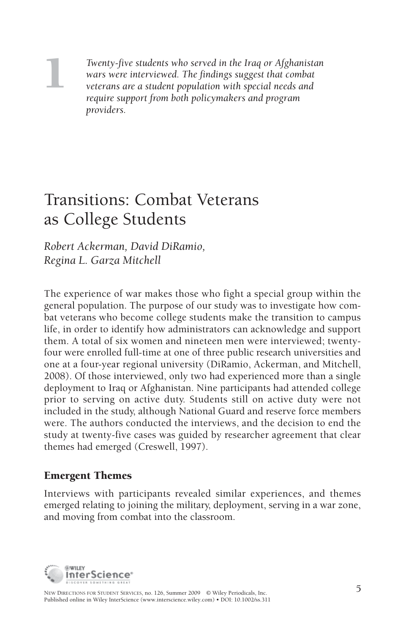1

*Twenty-five students who served in the Iraq or Afghanistan wars were interviewed. The findings suggest that combat veterans are a student population with special needs and require support from both policymakers and program providers.*

# Transitions: Combat Veterans as College Students

*Robert Ackerman, David DiRamio, Regina L. Garza Mitchell*

The experience of war makes those who fight a special group within the general population. The purpose of our study was to investigate how combat veterans who become college students make the transition to campus life, in order to identify how administrators can acknowledge and support them. A total of six women and nineteen men were interviewed; twentyfour were enrolled full-time at one of three public research universities and one at a four-year regional university (DiRamio, Ackerman, and Mitchell, 2008). Of those interviewed, only two had experienced more than a single deployment to Iraq or Afghanistan. Nine participants had attended college prior to serving on active duty. Students still on active duty were not included in the study, although National Guard and reserve force members were. The authors conducted the interviews, and the decision to end the study at twenty-five cases was guided by researcher agreement that clear themes had emerged (Creswell, 1997).

## Emergent Themes

Interviews with participants revealed similar experiences, and themes emerged relating to joining the military, deployment, serving in a war zone, and moving from combat into the classroom.

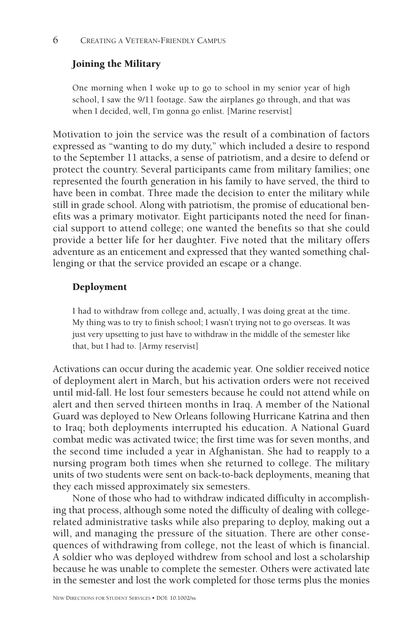#### Joining the Military

One morning when I woke up to go to school in my senior year of high school, I saw the 9/11 footage. Saw the airplanes go through, and that was when I decided, well, I'm gonna go enlist. [Marine reservist]

Motivation to join the service was the result of a combination of factors expressed as "wanting to do my duty," which included a desire to respond to the September 11 attacks, a sense of patriotism, and a desire to defend or protect the country. Several participants came from military families; one represented the fourth generation in his family to have served, the third to have been in combat. Three made the decision to enter the military while still in grade school. Along with patriotism, the promise of educational benefits was a primary motivator. Eight participants noted the need for financial support to attend college; one wanted the benefits so that she could provide a better life for her daughter. Five noted that the military offers adventure as an enticement and expressed that they wanted something challenging or that the service provided an escape or a change.

#### Deployment

I had to withdraw from college and, actually, I was doing great at the time. My thing was to try to finish school; I wasn't trying not to go overseas. It was just very upsetting to just have to withdraw in the middle of the semester like that, but I had to. [Army reservist]

Activations can occur during the academic year. One soldier received notice of deployment alert in March, but his activation orders were not received until mid-fall. He lost four semesters because he could not attend while on alert and then served thirteen months in Iraq. A member of the National Guard was deployed to New Orleans following Hurricane Katrina and then to Iraq; both deployments interrupted his education. A National Guard combat medic was activated twice; the first time was for seven months, and the second time included a year in Afghanistan. She had to reapply to a nursing program both times when she returned to college. The military units of two students were sent on back-to-back deployments, meaning that they each missed approximately six semesters.

None of those who had to withdraw indicated difficulty in accomplishing that process, although some noted the difficulty of dealing with collegerelated administrative tasks while also preparing to deploy, making out a will, and managing the pressure of the situation. There are other consequences of withdrawing from college, not the least of which is financial. A soldier who was deployed withdrew from school and lost a scholarship because he was unable to complete the semester. Others were activated late in the semester and lost the work completed for those terms plus the monies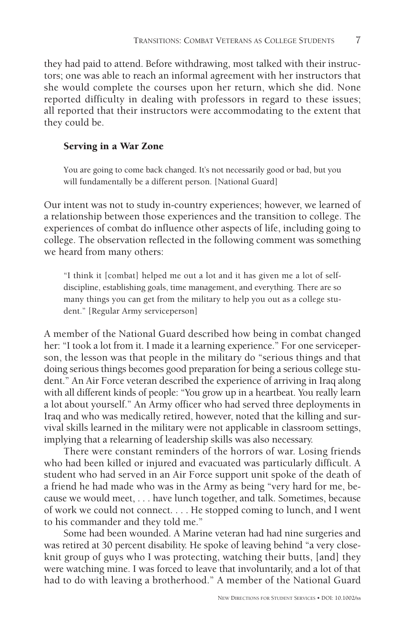they had paid to attend. Before withdrawing, most talked with their instructors; one was able to reach an informal agreement with her instructors that she would complete the courses upon her return, which she did. None reported difficulty in dealing with professors in regard to these issues; all reported that their instructors were accommodating to the extent that they could be.

#### Serving in a War Zone

You are going to come back changed. It's not necessarily good or bad, but you will fundamentally be a different person. [National Guard]

Our intent was not to study in-country experiences; however, we learned of a relationship between those experiences and the transition to college. The experiences of combat do influence other aspects of life, including going to college. The observation reflected in the following comment was something we heard from many others:

"I think it [combat] helped me out a lot and it has given me a lot of selfdiscipline, establishing goals, time management, and everything. There are so many things you can get from the military to help you out as a college student." [Regular Army serviceperson]

A member of the National Guard described how being in combat changed her: "I took a lot from it. I made it a learning experience." For one serviceperson, the lesson was that people in the military do "serious things and that doing serious things becomes good preparation for being a serious college student." An Air Force veteran described the experience of arriving in Iraq along with all different kinds of people: "You grow up in a heartbeat. You really learn a lot about yourself." An Army officer who had served three deployments in Iraq and who was medically retired, however, noted that the killing and survival skills learned in the military were not applicable in classroom settings, implying that a relearning of leadership skills was also necessary.

There were constant reminders of the horrors of war. Losing friends who had been killed or injured and evacuated was particularly difficult. A student who had served in an Air Force support unit spoke of the death of a friend he had made who was in the Army as being "very hard for me, because we would meet, . . . have lunch together, and talk. Sometimes, because of work we could not connect. . . . He stopped coming to lunch, and I went to his commander and they told me."

Some had been wounded. A Marine veteran had had nine surgeries and was retired at 30 percent disability. He spoke of leaving behind "a very closeknit group of guys who I was protecting, watching their butts, [and] they were watching mine. I was forced to leave that involuntarily, and a lot of that had to do with leaving a brotherhood." A member of the National Guard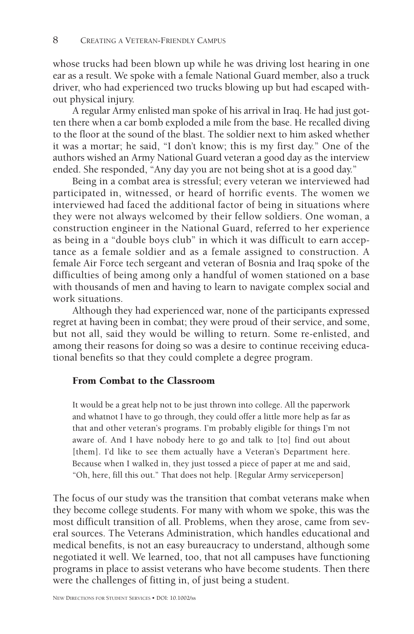whose trucks had been blown up while he was driving lost hearing in one ear as a result. We spoke with a female National Guard member, also a truck driver, who had experienced two trucks blowing up but had escaped without physical injury.

A regular Army enlisted man spoke of his arrival in Iraq. He had just gotten there when a car bomb exploded a mile from the base. He recalled diving to the floor at the sound of the blast. The soldier next to him asked whether it was a mortar; he said, "I don't know; this is my first day." One of the authors wished an Army National Guard veteran a good day as the interview ended. She responded, "Any day you are not being shot at is a good day."

Being in a combat area is stressful; every veteran we interviewed had participated in, witnessed, or heard of horrific events. The women we interviewed had faced the additional factor of being in situations where they were not always welcomed by their fellow soldiers. One woman, a construction engineer in the National Guard, referred to her experience as being in a "double boys club" in which it was difficult to earn acceptance as a female soldier and as a female assigned to construction. A female Air Force tech sergeant and veteran of Bosnia and Iraq spoke of the difficulties of being among only a handful of women stationed on a base with thousands of men and having to learn to navigate complex social and work situations.

Although they had experienced war, none of the participants expressed regret at having been in combat; they were proud of their service, and some, but not all, said they would be willing to return. Some re-enlisted, and among their reasons for doing so was a desire to continue receiving educational benefits so that they could complete a degree program.

#### From Combat to the Classroom

It would be a great help not to be just thrown into college. All the paperwork and whatnot I have to go through, they could offer a little more help as far as that and other veteran's programs. I'm probably eligible for things I'm not aware of. And I have nobody here to go and talk to [to] find out about [them]. I'd like to see them actually have a Veteran's Department here. Because when I walked in, they just tossed a piece of paper at me and said, "Oh, here, fill this out." That does not help. [Regular Army serviceperson]

The focus of our study was the transition that combat veterans make when they become college students. For many with whom we spoke, this was the most difficult transition of all. Problems, when they arose, came from several sources. The Veterans Administration, which handles educational and medical benefits, is not an easy bureaucracy to understand, although some negotiated it well. We learned, too, that not all campuses have functioning programs in place to assist veterans who have become students. Then there were the challenges of fitting in, of just being a student.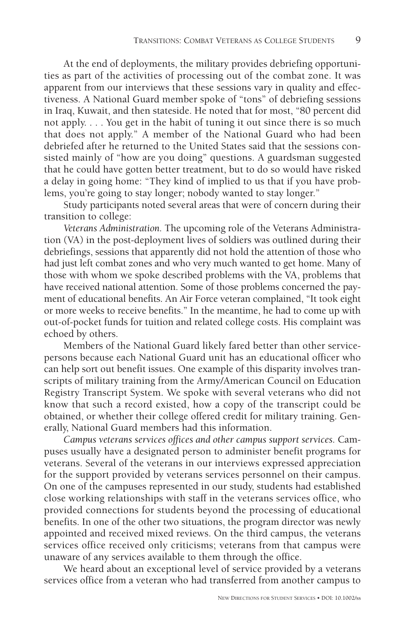At the end of deployments, the military provides debriefing opportunities as part of the activities of processing out of the combat zone. It was apparent from our interviews that these sessions vary in quality and effectiveness. A National Guard member spoke of "tons" of debriefing sessions in Iraq, Kuwait, and then stateside. He noted that for most, "80 percent did not apply. . . . You get in the habit of tuning it out since there is so much that does not apply." A member of the National Guard who had been debriefed after he returned to the United States said that the sessions consisted mainly of "how are you doing" questions. A guardsman suggested that he could have gotten better treatment, but to do so would have risked a delay in going home: "They kind of implied to us that if you have problems, you're going to stay longer; nobody wanted to stay longer."

Study participants noted several areas that were of concern during their transition to college:

*Veterans Administration.* The upcoming role of the Veterans Administration (VA) in the post-deployment lives of soldiers was outlined during their debriefings, sessions that apparently did not hold the attention of those who had just left combat zones and who very much wanted to get home. Many of those with whom we spoke described problems with the VA, problems that have received national attention. Some of those problems concerned the payment of educational benefits. An Air Force veteran complained, "It took eight or more weeks to receive benefits." In the meantime, he had to come up with out-of-pocket funds for tuition and related college costs. His complaint was echoed by others.

Members of the National Guard likely fared better than other servicepersons because each National Guard unit has an educational officer who can help sort out benefit issues. One example of this disparity involves transcripts of military training from the Army/American Council on Education Registry Transcript System. We spoke with several veterans who did not know that such a record existed, how a copy of the transcript could be obtained, or whether their college offered credit for military training. Generally, National Guard members had this information.

*Campus veterans services offices and other campus support services.* Campuses usually have a designated person to administer benefit programs for veterans. Several of the veterans in our interviews expressed appreciation for the support provided by veterans services personnel on their campus. On one of the campuses represented in our study, students had established close working relationships with staff in the veterans services office, who provided connections for students beyond the processing of educational benefits. In one of the other two situations, the program director was newly appointed and received mixed reviews. On the third campus, the veterans services office received only criticisms; veterans from that campus were unaware of any services available to them through the office.

We heard about an exceptional level of service provided by a veterans services office from a veteran who had transferred from another campus to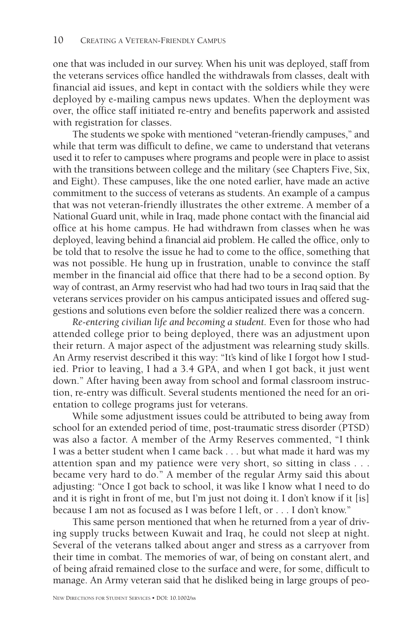one that was included in our survey. When his unit was deployed, staff from the veterans services office handled the withdrawals from classes, dealt with financial aid issues, and kept in contact with the soldiers while they were deployed by e-mailing campus news updates. When the deployment was over, the office staff initiated re-entry and benefits paperwork and assisted with registration for classes.

The students we spoke with mentioned "veteran-friendly campuses," and while that term was difficult to define, we came to understand that veterans used it to refer to campuses where programs and people were in place to assist with the transitions between college and the military (see Chapters Five, Six, and Eight). These campuses, like the one noted earlier, have made an active commitment to the success of veterans as students. An example of a campus that was not veteran-friendly illustrates the other extreme. A member of a National Guard unit, while in Iraq, made phone contact with the financial aid office at his home campus. He had withdrawn from classes when he was deployed, leaving behind a financial aid problem. He called the office, only to be told that to resolve the issue he had to come to the office, something that was not possible. He hung up in frustration, unable to convince the staff member in the financial aid office that there had to be a second option. By way of contrast, an Army reservist who had had two tours in Iraq said that the veterans services provider on his campus anticipated issues and offered suggestions and solutions even before the soldier realized there was a concern.

*Re-entering civilian life and becoming a student.* Even for those who had attended college prior to being deployed, there was an adjustment upon their return. A major aspect of the adjustment was relearning study skills. An Army reservist described it this way: "It's kind of like I forgot how I studied. Prior to leaving, I had a 3.4 GPA, and when I got back, it just went down." After having been away from school and formal classroom instruction, re-entry was difficult. Several students mentioned the need for an orientation to college programs just for veterans.

While some adjustment issues could be attributed to being away from school for an extended period of time, post-traumatic stress disorder (PTSD) was also a factor. A member of the Army Reserves commented, "I think I was a better student when I came back . . . but what made it hard was my attention span and my patience were very short, so sitting in class . . . became very hard to do." A member of the regular Army said this about adjusting: "Once I got back to school, it was like I know what I need to do and it is right in front of me, but I'm just not doing it. I don't know if it [is] because I am not as focused as I was before I left, or . . . I don't know."

This same person mentioned that when he returned from a year of driving supply trucks between Kuwait and Iraq, he could not sleep at night. Several of the veterans talked about anger and stress as a carryover from their time in combat. The memories of war, of being on constant alert, and of being afraid remained close to the surface and were, for some, difficult to manage. An Army veteran said that he disliked being in large groups of peo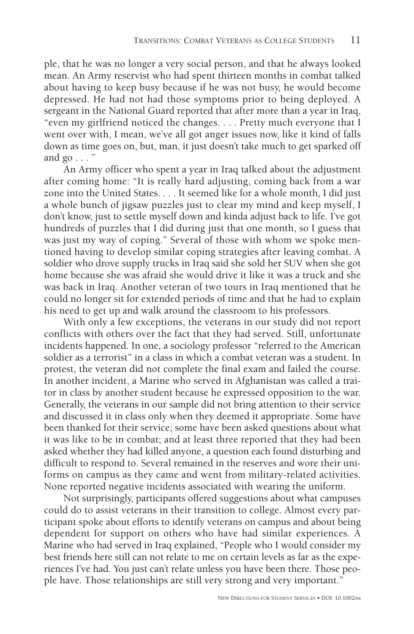ple, that he was no longer a very social person, and that he always looked mean. An Army reservist who had spent thirteen months in combat talked about having to keep busy because if he was not busy, he would become depressed. He had not had those symptoms prior to being deployed. A sergeant in the National Guard reported that after more than a year in Iraq, "even my girlfriend noticed the changes. . . . Pretty much everyone that I went over with, I mean, we've all got anger issues now, like it kind of falls down as time goes on, but, man, it just doesn't take much to get sparked off and go  $\ldots$ "

An Army officer who spent a year in Iraq talked about the adjustment after coming home: "It is really hard adjusting, coming back from a war zone into the United States. . . . It seemed like for a whole month, I did just a whole bunch of jigsaw puzzles just to clear my mind and keep myself, I don't know, just to settle myself down and kinda adjust back to life. I've got hundreds of puzzles that I did during just that one month, so I guess that was just my way of coping." Several of those with whom we spoke mentioned having to develop similar coping strategies after leaving combat. A soldier who drove supply trucks in Iraq said she sold her SUV when she got home because she was afraid she would drive it like it was a truck and she was back in Iraq. Another veteran of two tours in Iraq mentioned that he could no longer sit for extended periods of time and that he had to explain his need to get up and walk around the classroom to his professors.

With only a few exceptions, the veterans in our study did not report conflicts with others over the fact that they had served. Still, unfortunate incidents happened. In one, a sociology professor "referred to the American soldier as a terrorist" in a class in which a combat veteran was a student. In protest, the veteran did not complete the final exam and failed the course. In another incident, a Marine who served in Afghanistan was called a traitor in class by another student because he expressed opposition to the war. Generally, the veterans in our sample did not bring attention to their service and discussed it in class only when they deemed it appropriate. Some have been thanked for their service; some have been asked questions about what it was like to be in combat; and at least three reported that they had been asked whether they had killed anyone, a question each found disturbing and difficult to respond to. Several remained in the reserves and wore their uniforms on campus as they came and went from military-related activities. None reported negative incidents associated with wearing the uniform.

Not surprisingly, participants offered suggestions about what campuses could do to assist veterans in their transition to college. Almost every participant spoke about efforts to identify veterans on campus and about being dependent for support on others who have had similar experiences. A Marine who had served in Iraq explained, "People who I would consider my best friends here still can not relate to me on certain levels as far as the experiences I've had. You just can't relate unless you have been there. Those people have. Those relationships are still very strong and very important."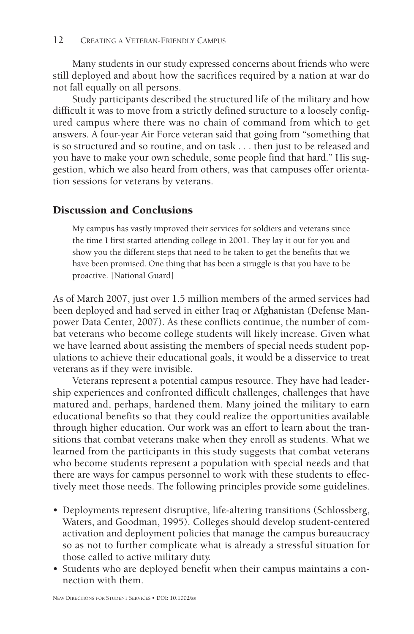Many students in our study expressed concerns about friends who were still deployed and about how the sacrifices required by a nation at war do not fall equally on all persons.

Study participants described the structured life of the military and how difficult it was to move from a strictly defined structure to a loosely configured campus where there was no chain of command from which to get answers. A four-year Air Force veteran said that going from "something that is so structured and so routine, and on task . . . then just to be released and you have to make your own schedule, some people find that hard." His suggestion, which we also heard from others, was that campuses offer orientation sessions for veterans by veterans.

## Discussion and Conclusions

My campus has vastly improved their services for soldiers and veterans since the time I first started attending college in 2001. They lay it out for you and show you the different steps that need to be taken to get the benefits that we have been promised. One thing that has been a struggle is that you have to be proactive. [National Guard]

As of March 2007, just over 1.5 million members of the armed services had been deployed and had served in either Iraq or Afghanistan (Defense Manpower Data Center, 2007). As these conflicts continue, the number of combat veterans who become college students will likely increase. Given what we have learned about assisting the members of special needs student populations to achieve their educational goals, it would be a disservice to treat veterans as if they were invisible.

Veterans represent a potential campus resource. They have had leadership experiences and confronted difficult challenges, challenges that have matured and, perhaps, hardened them. Many joined the military to earn educational benefits so that they could realize the opportunities available through higher education. Our work was an effort to learn about the transitions that combat veterans make when they enroll as students. What we learned from the participants in this study suggests that combat veterans who become students represent a population with special needs and that there are ways for campus personnel to work with these students to effectively meet those needs. The following principles provide some guidelines.

- Deployments represent disruptive, life-altering transitions (Schlossberg, Waters, and Goodman, 1995). Colleges should develop student-centered activation and deployment policies that manage the campus bureaucracy so as not to further complicate what is already a stressful situation for those called to active military duty.
- Students who are deployed benefit when their campus maintains a connection with them.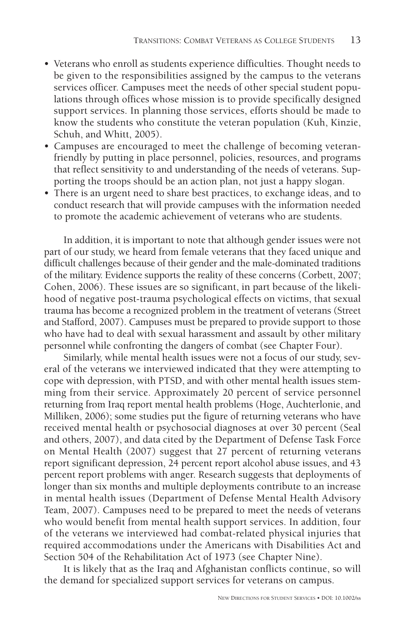- Veterans who enroll as students experience difficulties. Thought needs to be given to the responsibilities assigned by the campus to the veterans services officer. Campuses meet the needs of other special student populations through offices whose mission is to provide specifically designed support services. In planning those services, efforts should be made to know the students who constitute the veteran population (Kuh, Kinzie, Schuh, and Whitt, 2005).
- Campuses are encouraged to meet the challenge of becoming veteranfriendly by putting in place personnel, policies, resources, and programs that reflect sensitivity to and understanding of the needs of veterans. Supporting the troops should be an action plan, not just a happy slogan.
- There is an urgent need to share best practices, to exchange ideas, and to conduct research that will provide campuses with the information needed to promote the academic achievement of veterans who are students.

In addition, it is important to note that although gender issues were not part of our study, we heard from female veterans that they faced unique and difficult challenges because of their gender and the male-dominated traditions of the military. Evidence supports the reality of these concerns (Corbett, 2007; Cohen, 2006). These issues are so significant, in part because of the likelihood of negative post-trauma psychological effects on victims, that sexual trauma has become a recognized problem in the treatment of veterans (Street and Stafford, 2007). Campuses must be prepared to provide support to those who have had to deal with sexual harassment and assault by other military personnel while confronting the dangers of combat (see Chapter Four).

Similarly, while mental health issues were not a focus of our study, several of the veterans we interviewed indicated that they were attempting to cope with depression, with PTSD, and with other mental health issues stemming from their service. Approximately 20 percent of service personnel returning from Iraq report mental health problems (Hoge, Auchterlonie, and Milliken, 2006); some studies put the figure of returning veterans who have received mental health or psychosocial diagnoses at over 30 percent (Seal and others, 2007), and data cited by the Department of Defense Task Force on Mental Health (2007) suggest that 27 percent of returning veterans report significant depression, 24 percent report alcohol abuse issues, and 43 percent report problems with anger. Research suggests that deployments of longer than six months and multiple deployments contribute to an increase in mental health issues (Department of Defense Mental Health Advisory Team, 2007). Campuses need to be prepared to meet the needs of veterans who would benefit from mental health support services. In addition, four of the veterans we interviewed had combat-related physical injuries that required accommodations under the Americans with Disabilities Act and Section 504 of the Rehabilitation Act of 1973 (see Chapter Nine).

It is likely that as the Iraq and Afghanistan conflicts continue, so will the demand for specialized support services for veterans on campus.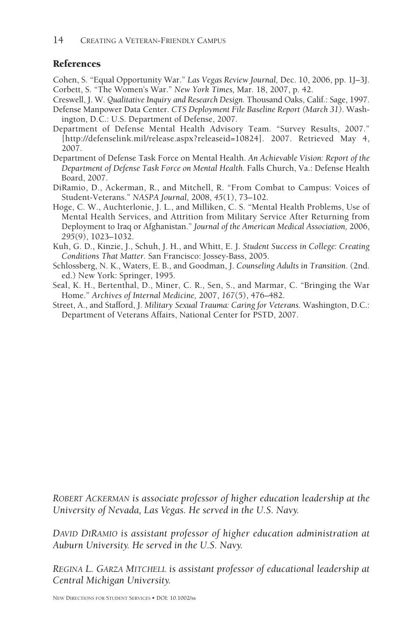### References

- Cohen, S. "Equal Opportunity War." *Las Vegas Review Journal,* Dec. 10, 2006, pp. 1J–3J. Corbett, S. "The Women's War." *New York Times,* Mar. 18, 2007, p. 42.
- Creswell, J. W. *Qualitative Inquiry and Research Design.* Thousand Oaks, Calif.: Sage, 1997.
- Defense Manpower Data Center. *CTS Deployment File Baseline Report (March 31).* Washington, D.C.: U.S. Department of Defense, 2007.
- Department of Defense Mental Health Advisory Team. "Survey Results, 2007." [http://defenselink.mil/release.aspx?releaseid=10824]. 2007. Retrieved May 4, 2007.
- Department of Defense Task Force on Mental Health. *An Achievable Vision: Report of the Department of Defense Task Force on Mental Health.* Falls Church, Va.: Defense Health Board, 2007.
- DiRamio, D., Ackerman, R., and Mitchell, R. "From Combat to Campus: Voices of Student-Veterans." *NASPA Journal,* 2008, *45*(1), 73–102.
- Hoge, C. W., Auchterlonie, J. L., and Milliken, C. S. "Mental Health Problems, Use of Mental Health Services, and Attrition from Military Service After Returning from Deployment to Iraq or Afghanistan." *Journal of the American Medical Association,* 2006, *295*(9), 1023–1032.
- Kuh, G. D., Kinzie, J., Schuh, J. H., and Whitt, E. J. *Student Success in College: Creating Conditions That Matter.* San Francisco: Jossey-Bass, 2005.
- Schlossberg, N. K., Waters, E. B., and Goodman, J. *Counseling Adults in Transition.* (2nd. ed.) New York: Springer, 1995.
- Seal, K. H., Bertenthal, D., Miner, C. R., Sen, S., and Marmar, C. "Bringing the War Home." *Archives of Internal Medicine,* 2007, *167*(5), 476–482.
- Street, A., and Stafford, J. *Military Sexual Trauma: Caring for Veterans.* Washington, D.C.: Department of Veterans Affairs, National Center for PSTD, 2007.

*ROBERT ACKERMAN is associate professor of higher education leadership at the University of Nevada, Las Vegas. He served in the U.S. Navy.*

*DAVID DIRAMIO is assistant professor of higher education administration at Auburn University. He served in the U.S. Navy.*

*REGINA L. GARZA MITCHELL is assistant professor of educational leadership at Central Michigan University.*